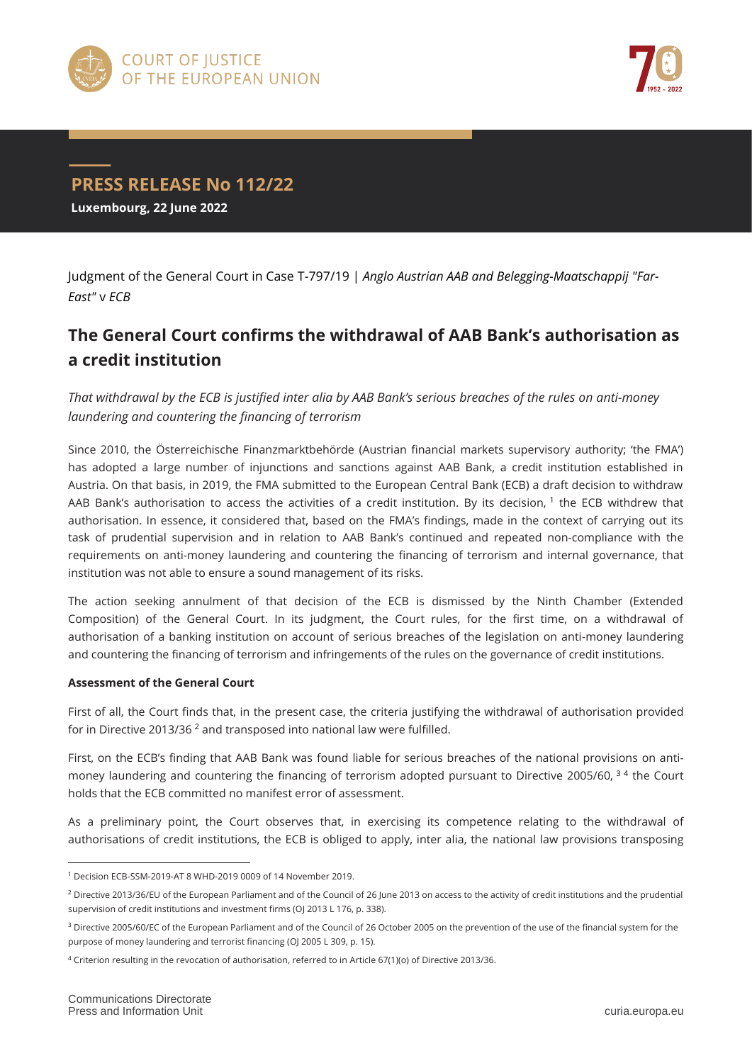



## **PRESS RELEASE No 112/22 Luxembourg, 22 June 2022**

Judgment of the General Court in Case T-797/19 | *Anglo Austrian AAB and Belegging-Maatschappij "Far-East"* v *ECB*

## **The General Court confirms the withdrawal of AAB Bank's authorisation as a credit institution**

*That withdrawal by the ECB is justified inter alia by AAB Bank's serious breaches of the rules on anti-money laundering and countering the financing of terrorism*

Since 2010, the Österreichische Finanzmarktbehörde (Austrian financial markets supervisory authority; 'the FMA') has adopted a large number of injunctions and sanctions against AAB Bank, a credit institution established in Austria. On that basis, in 2019, the FMA submitted to the European Central Bank (ECB) a draft decision to withdraw AAB Bank's authorisation to access the activities of a credit institution. By its decision, 1 the ECB withdrew that authorisation. In essence, it considered that, based on the FMA's findings, made in the context of carrying out its task of prudential supervision and in relation to AAB Bank's continued and repeated non-compliance with the requirements on anti-money laundering and countering the financing of terrorism and internal governance, that institution was not able to ensure a sound management of its risks.

The action seeking annulment of that decision of the ECB is dismissed by the Ninth Chamber (Extended Composition) of the General Court. In its judgment, the Court rules, for the first time, on a withdrawal of authorisation of a banking institution on account of serious breaches of the legislation on anti-money laundering and countering the financing of terrorism and infringements of the rules on the governance of credit institutions.

## **Assessment of the General Court**

First of all, the Court finds that, in the present case, the criteria justifying the withdrawal of authorisation provided for in Directive 2013/36 <sup>2</sup> and transposed into national law were fulfilled.

First, on the ECB's finding that AAB Bank was found liable for serious breaches of the national provisions on antimoney laundering and countering the financing of terrorism adopted pursuant to Directive 2005/60, <sup>34</sup> the Court holds that the ECB committed no manifest error of assessment.

As a preliminary point, the Court observes that, in exercising its competence relating to the withdrawal of authorisations of credit institutions, the ECB is obliged to apply, inter alia, the national law provisions transposing

 $\overline{a}$ <sup>1</sup> Decision ECB-SSM-2019-AT 8 WHD-2019 0009 of 14 November 2019.

<sup>2</sup> Directive 2013/36/EU of the European Parliament and of the Council of 26 June 2013 on access to the activity of credit institutions and the prudential supervision of credit institutions and investment firms (OJ 2013 L 176, p. 338).

<sup>&</sup>lt;sup>3</sup> Directive 2005/60/EC of the European Parliament and of the Council of 26 October 2005 on the prevention of the use of the financial system for the purpose of money laundering and terrorist financing (OJ 2005 L 309, p. 15).

<sup>4</sup> Criterion resulting in the revocation of authorisation, referred to in Article 67(1)(o) of Directive 2013/36.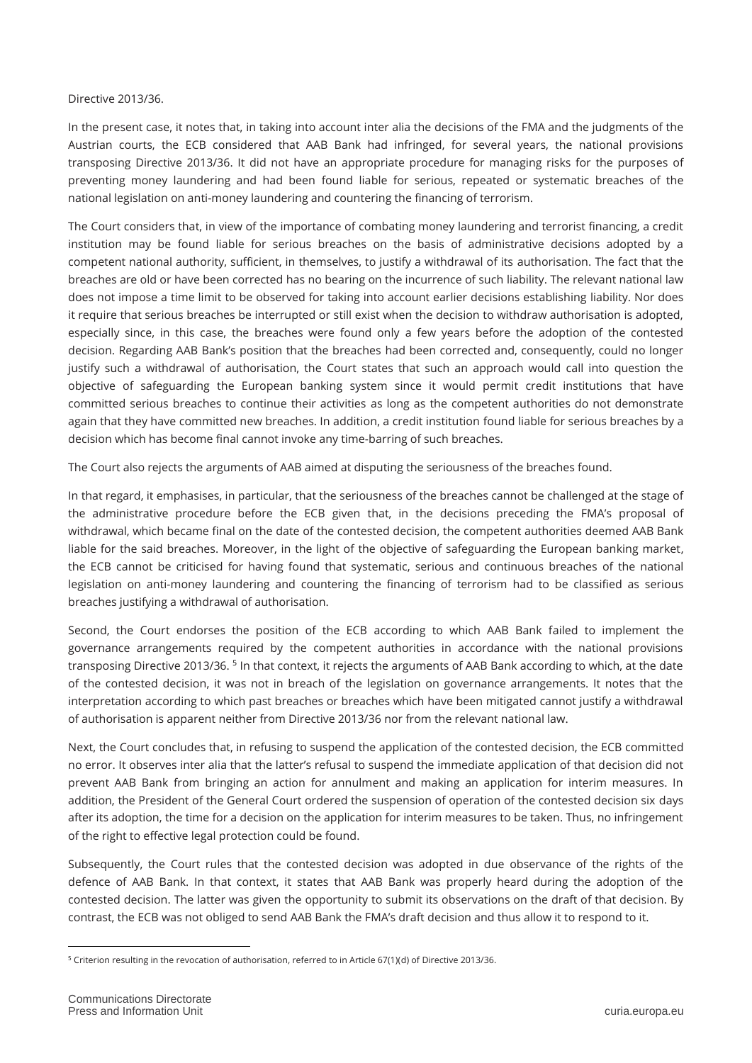## Directive 2013/36.

In the present case, it notes that, in taking into account inter alia the decisions of the FMA and the judgments of the Austrian courts, the ECB considered that AAB Bank had infringed, for several years, the national provisions transposing Directive 2013/36. It did not have an appropriate procedure for managing risks for the purposes of preventing money laundering and had been found liable for serious, repeated or systematic breaches of the national legislation on anti-money laundering and countering the financing of terrorism.

The Court considers that, in view of the importance of combating money laundering and terrorist financing, a credit institution may be found liable for serious breaches on the basis of administrative decisions adopted by a competent national authority, sufficient, in themselves, to justify a withdrawal of its authorisation. The fact that the breaches are old or have been corrected has no bearing on the incurrence of such liability. The relevant national law does not impose a time limit to be observed for taking into account earlier decisions establishing liability. Nor does it require that serious breaches be interrupted or still exist when the decision to withdraw authorisation is adopted, especially since, in this case, the breaches were found only a few years before the adoption of the contested decision. Regarding AAB Bank's position that the breaches had been corrected and, consequently, could no longer justify such a withdrawal of authorisation, the Court states that such an approach would call into question the objective of safeguarding the European banking system since it would permit credit institutions that have committed serious breaches to continue their activities as long as the competent authorities do not demonstrate again that they have committed new breaches. In addition, a credit institution found liable for serious breaches by a decision which has become final cannot invoke any time-barring of such breaches.

The Court also rejects the arguments of AAB aimed at disputing the seriousness of the breaches found.

In that regard, it emphasises, in particular, that the seriousness of the breaches cannot be challenged at the stage of the administrative procedure before the ECB given that, in the decisions preceding the FMA's proposal of withdrawal, which became final on the date of the contested decision, the competent authorities deemed AAB Bank liable for the said breaches. Moreover, in the light of the objective of safeguarding the European banking market, the ECB cannot be criticised for having found that systematic, serious and continuous breaches of the national legislation on anti-money laundering and countering the financing of terrorism had to be classified as serious breaches justifying a withdrawal of authorisation.

Second, the Court endorses the position of the ECB according to which AAB Bank failed to implement the governance arrangements required by the competent authorities in accordance with the national provisions transposing Directive 2013/36. <sup>5</sup> In that context, it rejects the arguments of AAB Bank according to which, at the date of the contested decision, it was not in breach of the legislation on governance arrangements. It notes that the interpretation according to which past breaches or breaches which have been mitigated cannot justify a withdrawal of authorisation is apparent neither from Directive 2013/36 nor from the relevant national law.

Next, the Court concludes that, in refusing to suspend the application of the contested decision, the ECB committed no error. It observes inter alia that the latter's refusal to suspend the immediate application of that decision did not prevent AAB Bank from bringing an action for annulment and making an application for interim measures. In addition, the President of the General Court ordered the suspension of operation of the contested decision six days after its adoption, the time for a decision on the application for interim measures to be taken. Thus, no infringement of the right to effective legal protection could be found.

Subsequently, the Court rules that the contested decision was adopted in due observance of the rights of the defence of AAB Bank. In that context, it states that AAB Bank was properly heard during the adoption of the contested decision. The latter was given the opportunity to submit its observations on the draft of that decision. By contrast, the ECB was not obliged to send AAB Bank the FMA's draft decision and thus allow it to respond to it.

 $\overline{a}$ <sup>5</sup> Criterion resulting in the revocation of authorisation, referred to in Article 67(1)(d) of Directive 2013/36.